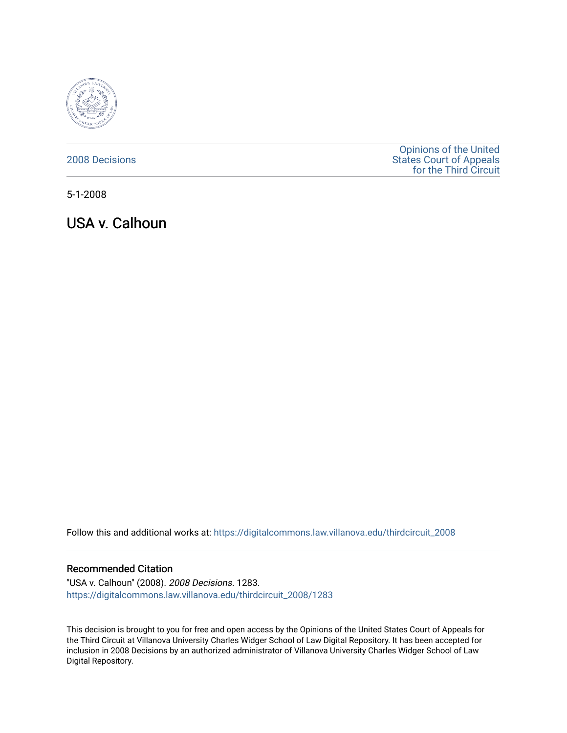

[2008 Decisions](https://digitalcommons.law.villanova.edu/thirdcircuit_2008)

[Opinions of the United](https://digitalcommons.law.villanova.edu/thirdcircuit)  [States Court of Appeals](https://digitalcommons.law.villanova.edu/thirdcircuit)  [for the Third Circuit](https://digitalcommons.law.villanova.edu/thirdcircuit) 

5-1-2008

USA v. Calhoun

Follow this and additional works at: [https://digitalcommons.law.villanova.edu/thirdcircuit\\_2008](https://digitalcommons.law.villanova.edu/thirdcircuit_2008?utm_source=digitalcommons.law.villanova.edu%2Fthirdcircuit_2008%2F1283&utm_medium=PDF&utm_campaign=PDFCoverPages) 

## Recommended Citation

"USA v. Calhoun" (2008). 2008 Decisions. 1283. [https://digitalcommons.law.villanova.edu/thirdcircuit\\_2008/1283](https://digitalcommons.law.villanova.edu/thirdcircuit_2008/1283?utm_source=digitalcommons.law.villanova.edu%2Fthirdcircuit_2008%2F1283&utm_medium=PDF&utm_campaign=PDFCoverPages) 

This decision is brought to you for free and open access by the Opinions of the United States Court of Appeals for the Third Circuit at Villanova University Charles Widger School of Law Digital Repository. It has been accepted for inclusion in 2008 Decisions by an authorized administrator of Villanova University Charles Widger School of Law Digital Repository.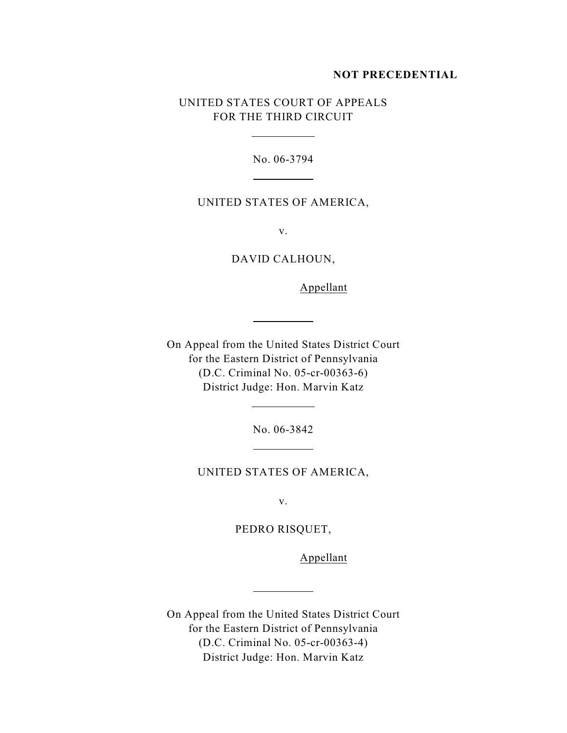### **NOT PRECEDENTIAL**

# UNITED STATES COURT OF APPEALS FOR THE THIRD CIRCUIT

 $\overline{a}$ 

 $\overline{a}$ 

 $\overline{a}$ 

 $\overline{a}$ 

 $\overline{a}$ 

 $\overline{a}$ 

No. 06-3794

## UNITED STATES OF AMERICA,

v.

DAVID CALHOUN,

Appellant

On Appeal from the United States District Court for the Eastern District of Pennsylvania (D.C. Criminal No. 05-cr-00363-6) District Judge: Hon. Marvin Katz

No. 06-3842

UNITED STATES OF AMERICA,

v.

PEDRO RISQUET,

Appellant

On Appeal from the United States District Court for the Eastern District of Pennsylvania (D.C. Criminal No. 05-cr-00363-4) District Judge: Hon. Marvin Katz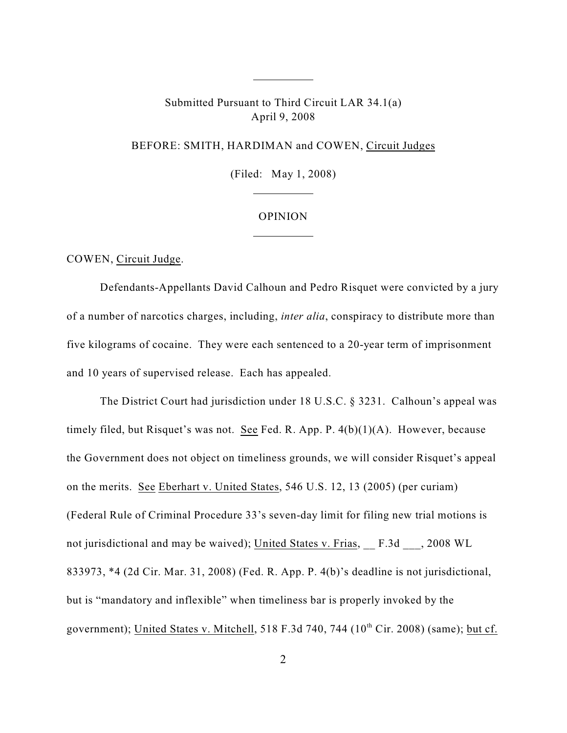Submitted Pursuant to Third Circuit LAR 34.1(a) April 9, 2008

 $\overline{a}$ 

 $\overline{a}$ 

 $\overline{a}$ 

BEFORE: SMITH, HARDIMAN and COWEN, Circuit Judges

(Filed: May 1, 2008)

### OPINION

COWEN, Circuit Judge.

Defendants-Appellants David Calhoun and Pedro Risquet were convicted by a jury of a number of narcotics charges, including, *inter alia*, conspiracy to distribute more than five kilograms of cocaine. They were each sentenced to a 20-year term of imprisonment and 10 years of supervised release. Each has appealed.

The District Court had jurisdiction under 18 U.S.C. § 3231. Calhoun's appeal was timely filed, but Risquet's was not. See Fed. R. App. P. 4(b)(1)(A). However, because the Government does not object on timeliness grounds, we will consider Risquet's appeal on the merits. See Eberhart v. United States, 546 U.S. 12, 13 (2005) (per curiam) (Federal Rule of Criminal Procedure 33's seven-day limit for filing new trial motions is not jurisdictional and may be waived); United States v. Frias, F.3d , 2008 WL 833973, \*4 (2d Cir. Mar. 31, 2008) (Fed. R. App. P. 4(b)'s deadline is not jurisdictional, but is "mandatory and inflexible" when timeliness bar is properly invoked by the government); United States v. Mitchell, 518 F.3d 740, 744 ( $10<sup>th</sup> Cir. 2008$ ) (same); but cf.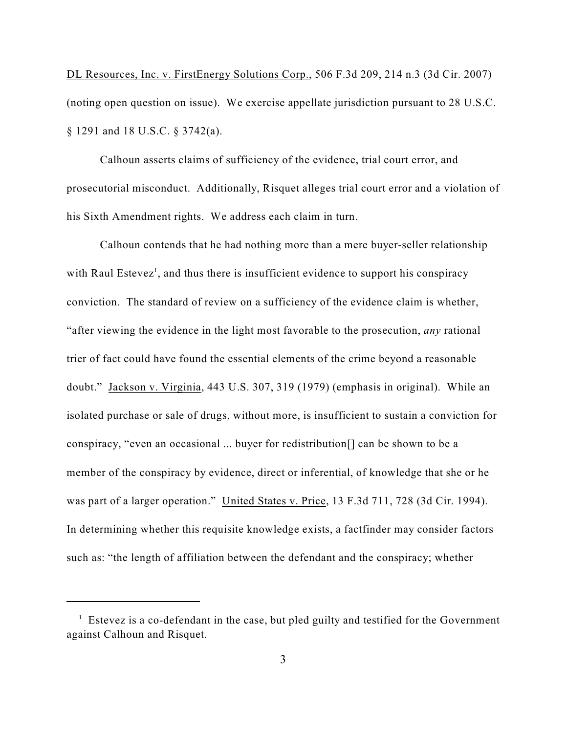DL Resources, Inc. v. FirstEnergy Solutions Corp., 506 F.3d 209, 214 n.3 (3d Cir. 2007) (noting open question on issue). We exercise appellate jurisdiction pursuant to 28 U.S.C. § 1291 and 18 U.S.C. § 3742(a).

Calhoun asserts claims of sufficiency of the evidence, trial court error, and prosecutorial misconduct. Additionally, Risquet alleges trial court error and a violation of his Sixth Amendment rights. We address each claim in turn.

Calhoun contends that he had nothing more than a mere buyer-seller relationship with Raul Estevez<sup>1</sup>, and thus there is insufficient evidence to support his conspiracy conviction. The standard of review on a sufficiency of the evidence claim is whether, "after viewing the evidence in the light most favorable to the prosecution, *any* rational trier of fact could have found the essential elements of the crime beyond a reasonable doubt." Jackson v. Virginia, 443 U.S. 307, 319 (1979) (emphasis in original). While an isolated purchase or sale of drugs, without more, is insufficient to sustain a conviction for conspiracy, "even an occasional ... buyer for redistribution[] can be shown to be a member of the conspiracy by evidence, direct or inferential, of knowledge that she or he was part of a larger operation." United States v. Price, 13 F.3d 711, 728 (3d Cir. 1994). In determining whether this requisite knowledge exists, a factfinder may consider factors such as: "the length of affiliation between the defendant and the conspiracy; whether

 $\frac{1}{1}$  Estevez is a co-defendant in the case, but pled guilty and testified for the Government against Calhoun and Risquet.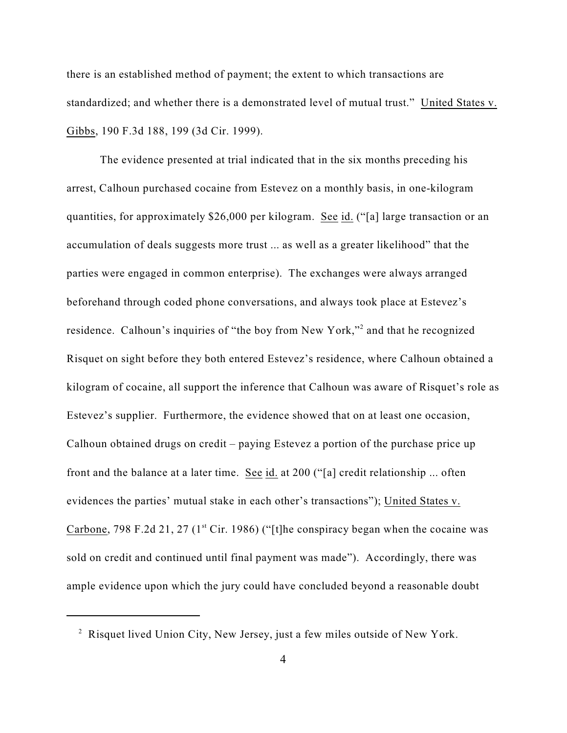there is an established method of payment; the extent to which transactions are standardized; and whether there is a demonstrated level of mutual trust." United States v. Gibbs, 190 F.3d 188, 199 (3d Cir. 1999).

The evidence presented at trial indicated that in the six months preceding his arrest, Calhoun purchased cocaine from Estevez on a monthly basis, in one-kilogram quantities, for approximately \$26,000 per kilogram. See id. ("[a] large transaction or an accumulation of deals suggests more trust ... as well as a greater likelihood" that the parties were engaged in common enterprise). The exchanges were always arranged beforehand through coded phone conversations, and always took place at Estevez's residence. Calhoun's inquiries of "the boy from New York,"<sup>2</sup> and that he recognized Risquet on sight before they both entered Estevez's residence, where Calhoun obtained a kilogram of cocaine, all support the inference that Calhoun was aware of Risquet's role as Estevez's supplier. Furthermore, the evidence showed that on at least one occasion, Calhoun obtained drugs on credit – paying Estevez a portion of the purchase price up front and the balance at a later time. See id. at 200 ("[a] credit relationship ... often evidences the parties' mutual stake in each other's transactions"); United States v. Carbone, 798 F.2d 21, 27 ( $1<sup>st</sup>$  Cir. 1986) ("[t]he conspiracy began when the cocaine was sold on credit and continued until final payment was made"). Accordingly, there was ample evidence upon which the jury could have concluded beyond a reasonable doubt

<sup>&</sup>lt;sup>2</sup> Risquet lived Union City, New Jersey, just a few miles outside of New York.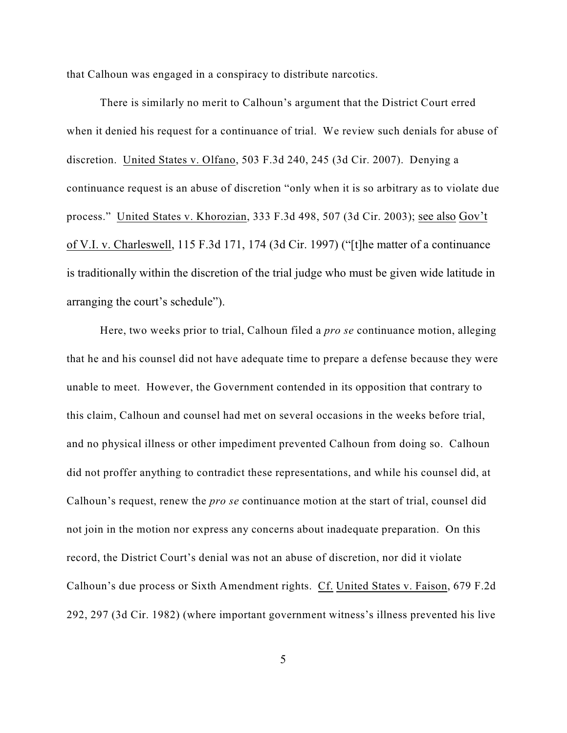that Calhoun was engaged in a conspiracy to distribute narcotics.

There is similarly no merit to Calhoun's argument that the District Court erred when it denied his request for a continuance of trial. We review such denials for abuse of discretion. United States v. Olfano, 503 F.3d 240, 245 (3d Cir. 2007). Denying a continuance request is an abuse of discretion "only when it is so arbitrary as to violate due process." United States v. Khorozian, 333 F.3d 498, 507 (3d Cir. 2003); see also Gov't of V.I. v. Charleswell, 115 F.3d 171, 174 (3d Cir. 1997) ("[t]he matter of a continuance is traditionally within the discretion of the trial judge who must be given wide latitude in arranging the court's schedule").

Here, two weeks prior to trial, Calhoun filed a *pro se* continuance motion, alleging that he and his counsel did not have adequate time to prepare a defense because they were unable to meet. However, the Government contended in its opposition that contrary to this claim, Calhoun and counsel had met on several occasions in the weeks before trial, and no physical illness or other impediment prevented Calhoun from doing so. Calhoun did not proffer anything to contradict these representations, and while his counsel did, at Calhoun's request, renew the *pro se* continuance motion at the start of trial, counsel did not join in the motion nor express any concerns about inadequate preparation. On this record, the District Court's denial was not an abuse of discretion, nor did it violate Calhoun's due process or Sixth Amendment rights. Cf. United States v. Faison, 679 F.2d 292, 297 (3d Cir. 1982) (where important government witness's illness prevented his live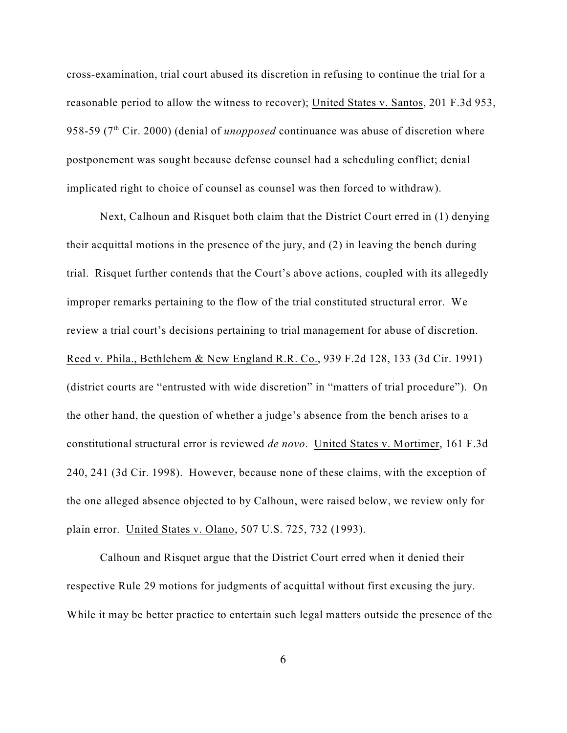cross-examination, trial court abused its discretion in refusing to continue the trial for a reasonable period to allow the witness to recover); United States v. Santos, 201 F.3d 953, 958-59 (7<sup>th</sup> Cir. 2000) (denial of *unopposed* continuance was abuse of discretion where postponement was sought because defense counsel had a scheduling conflict; denial implicated right to choice of counsel as counsel was then forced to withdraw).

Next, Calhoun and Risquet both claim that the District Court erred in (1) denying their acquittal motions in the presence of the jury, and (2) in leaving the bench during trial. Risquet further contends that the Court's above actions, coupled with its allegedly improper remarks pertaining to the flow of the trial constituted structural error. We review a trial court's decisions pertaining to trial management for abuse of discretion. Reed v. Phila., Bethlehem & New England R.R. Co., 939 F.2d 128, 133 (3d Cir. 1991) (district courts are "entrusted with wide discretion" in "matters of trial procedure"). On the other hand, the question of whether a judge's absence from the bench arises to a constitutional structural error is reviewed *de novo*. United States v. Mortimer, 161 F.3d 240, 241 (3d Cir. 1998). However, because none of these claims, with the exception of the one alleged absence objected to by Calhoun, were raised below, we review only for plain error. United States v. Olano, 507 U.S. 725, 732 (1993).

Calhoun and Risquet argue that the District Court erred when it denied their respective Rule 29 motions for judgments of acquittal without first excusing the jury. While it may be better practice to entertain such legal matters outside the presence of the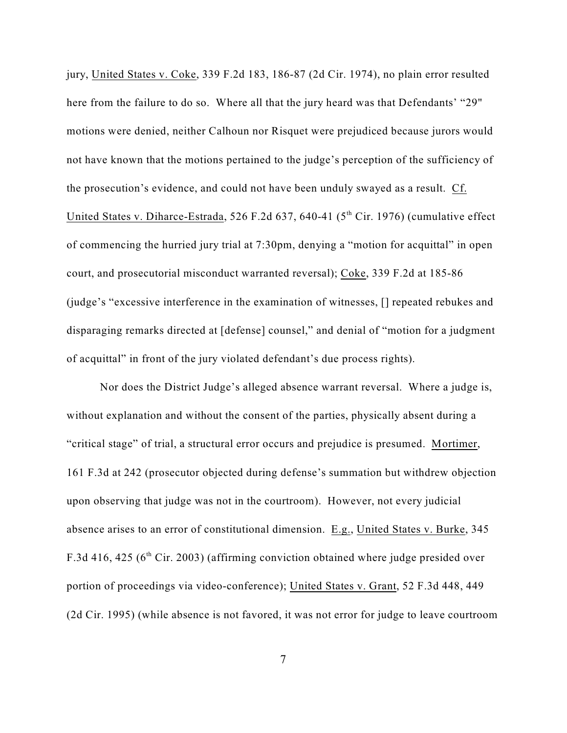jury, United States v. Coke, 339 F.2d 183, 186-87 (2d Cir. 1974), no plain error resulted here from the failure to do so. Where all that the jury heard was that Defendants' "29" motions were denied, neither Calhoun nor Risquet were prejudiced because jurors would not have known that the motions pertained to the judge's perception of the sufficiency of the prosecution's evidence, and could not have been unduly swayed as a result. Cf. United States v. Diharce-Estrada, 526 F.2d 637, 640-41 (5<sup>th</sup> Cir. 1976) (cumulative effect of commencing the hurried jury trial at 7:30pm, denying a "motion for acquittal" in open court, and prosecutorial misconduct warranted reversal); Coke, 339 F.2d at 185-86 (judge's "excessive interference in the examination of witnesses, [] repeated rebukes and disparaging remarks directed at [defense] counsel," and denial of "motion for a judgment of acquittal" in front of the jury violated defendant's due process rights).

Nor does the District Judge's alleged absence warrant reversal. Where a judge is, without explanation and without the consent of the parties, physically absent during a "critical stage" of trial, a structural error occurs and prejudice is presumed. Mortimer, 161 F.3d at 242 (prosecutor objected during defense's summation but withdrew objection upon observing that judge was not in the courtroom). However, not every judicial absence arises to an error of constitutional dimension. E.g., United States v. Burke, 345 F.3d 416, 425 ( $6<sup>th</sup>$  Cir. 2003) (affirming conviction obtained where judge presided over portion of proceedings via video-conference); United States v. Grant, 52 F.3d 448, 449 (2d Cir. 1995) (while absence is not favored, it was not error for judge to leave courtroom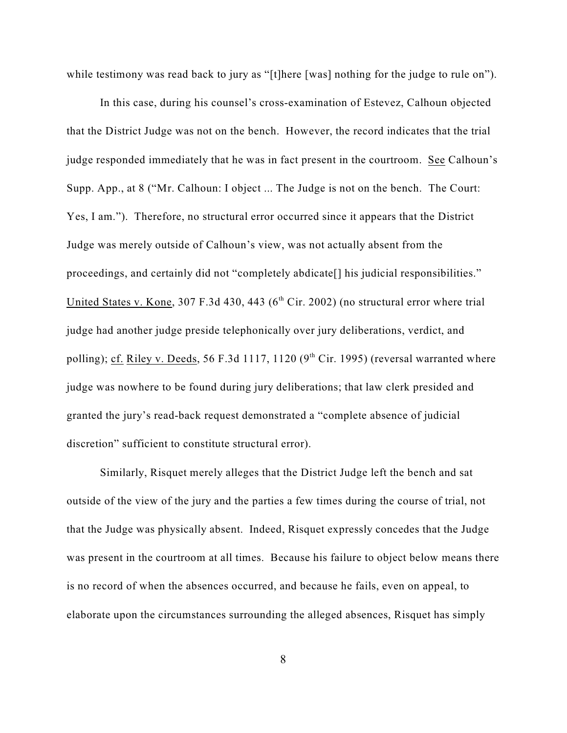while testimony was read back to jury as "[t]here [was] nothing for the judge to rule on").

In this case, during his counsel's cross-examination of Estevez, Calhoun objected that the District Judge was not on the bench. However, the record indicates that the trial judge responded immediately that he was in fact present in the courtroom. See Calhoun's Supp. App., at 8 ("Mr. Calhoun: I object ... The Judge is not on the bench. The Court: Yes, I am."). Therefore, no structural error occurred since it appears that the District Judge was merely outside of Calhoun's view, was not actually absent from the proceedings, and certainly did not "completely abdicate[] his judicial responsibilities." United States v. Kone, 307 F.3d 430, 443 ( $6<sup>th</sup> Cir. 2002$ ) (no structural error where trial judge had another judge preside telephonically over jury deliberations, verdict, and polling); cf. Riley v. Deeds, 56 F.3d 1117, 1120 ( $9<sup>th</sup>$  Cir. 1995) (reversal warranted where judge was nowhere to be found during jury deliberations; that law clerk presided and granted the jury's read-back request demonstrated a "complete absence of judicial discretion" sufficient to constitute structural error).

Similarly, Risquet merely alleges that the District Judge left the bench and sat outside of the view of the jury and the parties a few times during the course of trial, not that the Judge was physically absent. Indeed, Risquet expressly concedes that the Judge was present in the courtroom at all times. Because his failure to object below means there is no record of when the absences occurred, and because he fails, even on appeal, to elaborate upon the circumstances surrounding the alleged absences, Risquet has simply

8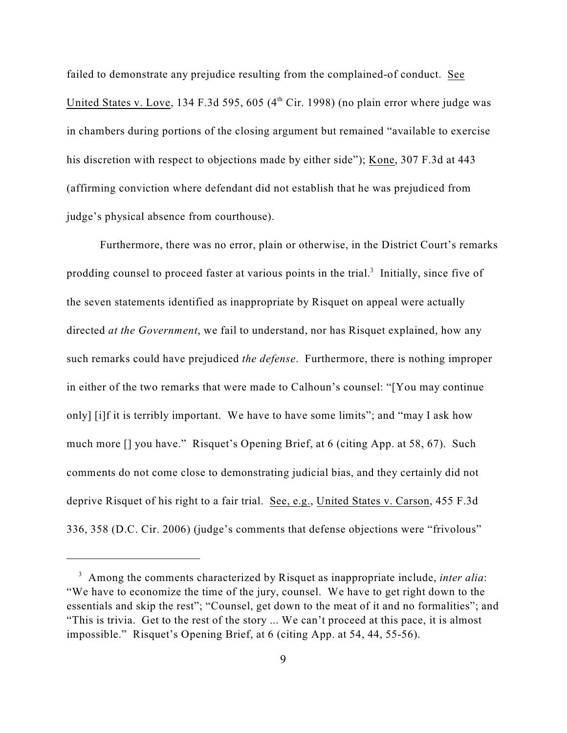failed to demonstrate any prejudice resulting from the complained-of conduct. See United States v. Love, 134 F.3d 595, 605  $(4<sup>th</sup> Cir, 1998)$  (no plain error where judge was in chambers during portions of the closing argument but remained "available to exercise his discretion with respect to objections made by either side"); Kone, 307 F.3d at 443 (affirming conviction where defendant did not establish that he was prejudiced from judge's physical absence from courthouse).

Furthermore, there was no error, plain or otherwise, in the District Court's remarks prodding counsel to proceed faster at various points in the trial.<sup>3</sup> Initially, since five of the seven statements identified as inappropriate by Risquet on appeal were actually directed *at the Government*, we fail to understand, nor has Risquet explained, how any such remarks could have prejudiced *the defense*. Furthermore, there is nothing improper in either of the two remarks that were made to Calhoun's counsel: "[You may continue only] [i]f it is terribly important. We have to have some limits"; and "may I ask how much more [] you have." Risquet's Opening Brief, at 6 (citing App. at 58, 67). Such comments do not come close to demonstrating judicial bias, and they certainly did not deprive Risquet of his right to a fair trial. See, e.g., United States v. Carson, 455 F.3d 336, 358 (D.C. Cir. 2006) (judge's comments that defense objections were "frivolous"

<sup>&</sup>lt;sup>3</sup> Among the comments characterized by Risquet as inappropriate include, *inter alia*: "We have to economize the time of the jury, counsel. We have to get right down to the essentials and skip the rest"; "Counsel, get down to the meat of it and no formalities"; and "This is trivia. Get to the rest of the story ... We can't proceed at this pace, it is almost impossible." Risquet's Opening Brief, at 6 (citing App. at 54, 44, 55-56).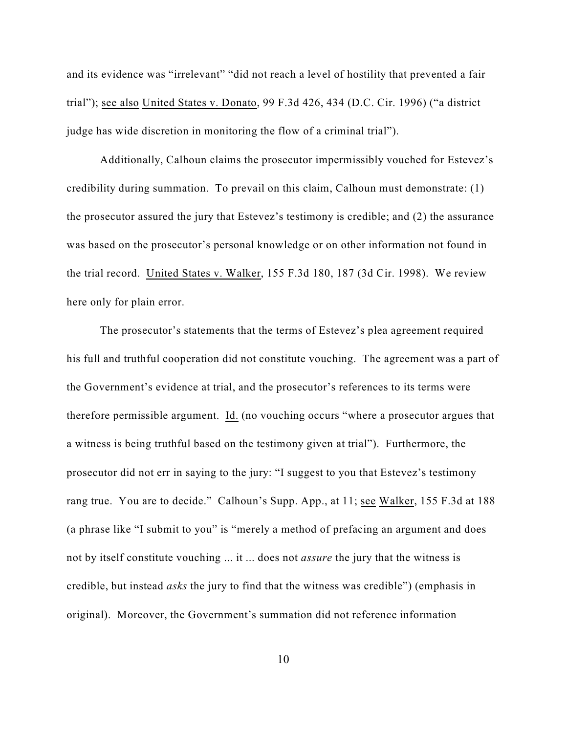and its evidence was "irrelevant" "did not reach a level of hostility that prevented a fair trial"); see also United States v. Donato, 99 F.3d 426, 434 (D.C. Cir. 1996) ("a district judge has wide discretion in monitoring the flow of a criminal trial").

Additionally, Calhoun claims the prosecutor impermissibly vouched for Estevez's credibility during summation. To prevail on this claim, Calhoun must demonstrate: (1) the prosecutor assured the jury that Estevez's testimony is credible; and (2) the assurance was based on the prosecutor's personal knowledge or on other information not found in the trial record. United States v. Walker, 155 F.3d 180, 187 (3d Cir. 1998). We review here only for plain error.

The prosecutor's statements that the terms of Estevez's plea agreement required his full and truthful cooperation did not constitute vouching. The agreement was a part of the Government's evidence at trial, and the prosecutor's references to its terms were therefore permissible argument. Id. (no vouching occurs "where a prosecutor argues that a witness is being truthful based on the testimony given at trial"). Furthermore, the prosecutor did not err in saying to the jury: "I suggest to you that Estevez's testimony rang true. You are to decide." Calhoun's Supp. App., at 11; see Walker, 155 F.3d at 188 (a phrase like "I submit to you" is "merely a method of prefacing an argument and does not by itself constitute vouching ... it ... does not *assure* the jury that the witness is credible, but instead *asks* the jury to find that the witness was credible") (emphasis in original). Moreover, the Government's summation did not reference information